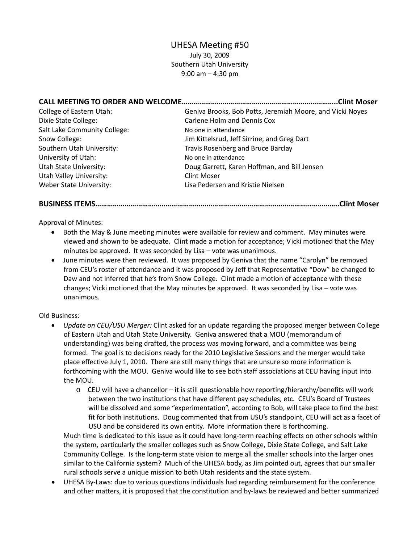# UHESA Meeting #50

July 30, 2009 Southern Utah University 9:00 am – 4:30 pm

**CALL MEETING TO ORDER AND WELCOME……………………………………………………………………..Clint Moser**

| College of Eastern Utah:     | Geniva Brooks, Bob Potts, Jeremiah Moore, and Vicki Noyes |  |  |
|------------------------------|-----------------------------------------------------------|--|--|
| Dixie State College:         | Carlene Holm and Dennis Cox                               |  |  |
| Salt Lake Community College: | No one in attendance                                      |  |  |
| Snow College:                | Jim Kittelsrud, Jeff Sirrine, and Greg Dart               |  |  |
| Southern Utah University:    | Travis Rosenberg and Bruce Barclay                        |  |  |
| University of Utah:          | No one in attendance                                      |  |  |
| Utah State University:       | Doug Garrett, Karen Hoffman, and Bill Jensen              |  |  |
| Utah Valley University:      | <b>Clint Moser</b>                                        |  |  |
| Weber State University:      | Lisa Pedersen and Kristie Nielsen                         |  |  |

**BUSINESS ITEMS……………………………………………………………………………………………………………..Clint Moser**

Approval of Minutes:

- Both the May & June meeting minutes were available for review and comment. May minutes were viewed and shown to be adequate. Clint made a motion for acceptance; Vicki motioned that the May minutes be approved. It was seconded by Lisa – vote was unanimous.
- June minutes were then reviewed. It was proposed by Geniva that the name "Carolyn" be removed from CEU's roster of attendance and it was proposed by Jeff that Representative "Dow" be changed to Daw and not inferred that he's from Snow College. Clint made a motion of acceptance with these changes; Vicki motioned that the May minutes be approved. It was seconded by Lisa – vote was unanimous.

#### Old Business:

- *Update on CEU/USU Merger:* Clint asked for an update regarding the proposed merger between College of Eastern Utah and Utah State University. Geniva answered that a MOU (memorandum of understanding) was being drafted, the process was moving forward, and a committee was being formed. The goal is to decisions ready for the 2010 Legislative Sessions and the merger would take place effective July 1, 2010. There are still many things that are unsure so more information is forthcoming with the MOU. Geniva would like to see both staff associations at CEU having input into the MOU.
	- $\circ$  CEU will have a chancellor it is still questionable how reporting/hierarchy/benefits will work between the two institutions that have different pay schedules, etc. CEU's Board of Trustees will be dissolved and some "experimentation", according to Bob, will take place to find the best fit for both institutions. Doug commented that from USU's standpoint, CEU will act as a facet of USU and be considered its own entity. More information there is forthcoming.

Much time is dedicated to this issue as it could have long-term reaching effects on other schools within the system, particularly the smaller colleges such as Snow College, Dixie State College, and Salt Lake Community College. Is the long‐term state vision to merge all the smaller schools into the larger ones similar to the California system? Much of the UHESA body, as Jim pointed out, agrees that our smaller rural schools serve a unique mission to both Utah residents and the state system.

• UHESA By‐Laws: due to various questions individuals had regarding reimbursement for the conference and other matters, it is proposed that the constitution and by-laws be reviewed and better summarized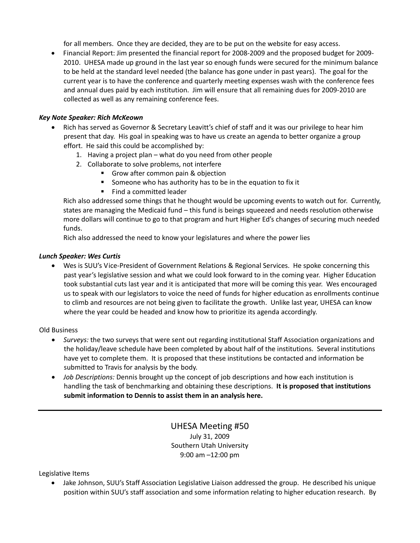for all members. Once they are decided, they are to be put on the website for easy access.

• Financial Report: Jim presented the financial report for 2008‐2009 and the proposed budget for 2009‐ 2010. UHESA made up ground in the last year so enough funds were secured for the minimum balance to be held at the standard level needed (the balance has gone under in past years). The goal for the current year is to have the conference and quarterly meeting expenses wash with the conference fees and annual dues paid by each institution. Jim will ensure that all remaining dues for 2009‐2010 are collected as well as any remaining conference fees.

### *Key Note Speaker: Rich McKeown*

- Rich has served as Governor & Secretary Leavitt's chief of staff and it was our privilege to hear him present that day. His goal in speaking was to have us create an agenda to better organize a group effort. He said this could be accomplished by:
	- 1. Having a project plan what do you need from other people
	- 2. Collaborate to solve problems, not interfere
		- Grow after common pain & objection
		- Someone who has authority has to be in the equation to fix it
		- **Find a committed leader**

Rich also addressed some things that he thought would be upcoming events to watch out for. Currently, states are managing the Medicaid fund – this fund is beings squeezed and needs resolution otherwise more dollars will continue to go to that program and hurt Higher Ed's changes of securing much needed funds.

Rich also addressed the need to know your legislatures and where the power lies

#### *Lunch Speaker: Wes Curtis*

• Wes is SUU's Vice-President of Government Relations & Regional Services. He spoke concerning this past year's legislative session and what we could look forward to in the coming year. Higher Education took substantial cuts last year and it is anticipated that more will be coming this year. Wes encouraged us to speak with our legislators to voice the need of funds for higher education as enrollments continue to climb and resources are not being given to facilitate the growth. Unlike last year, UHESA can know where the year could be headed and know how to prioritize its agenda accordingly.

#### Old Business

- *Surveys:* the two surveys that were sent out regarding institutional Staff Association organizations and the holiday/leave schedule have been completed by about half of the institutions. Several institutions have yet to complete them. It is proposed that these institutions be contacted and information be submitted to Travis for analysis by the body.
- *Job Descriptions:* Dennis brought up the concept of job descriptions and how each institution is handling the task of benchmarking and obtaining these descriptions. **It is proposed that institutions submit information to Dennis to assist them in an analysis here.**

## UHESA Meeting #50 July 31, 2009 Southern Utah University 9:00 am –12:00 pm

Legislative Items

• Jake Johnson, SUU's Staff Association Legislative Liaison addressed the group. He described his unique position within SUU's staff association and some information relating to higher education research. By